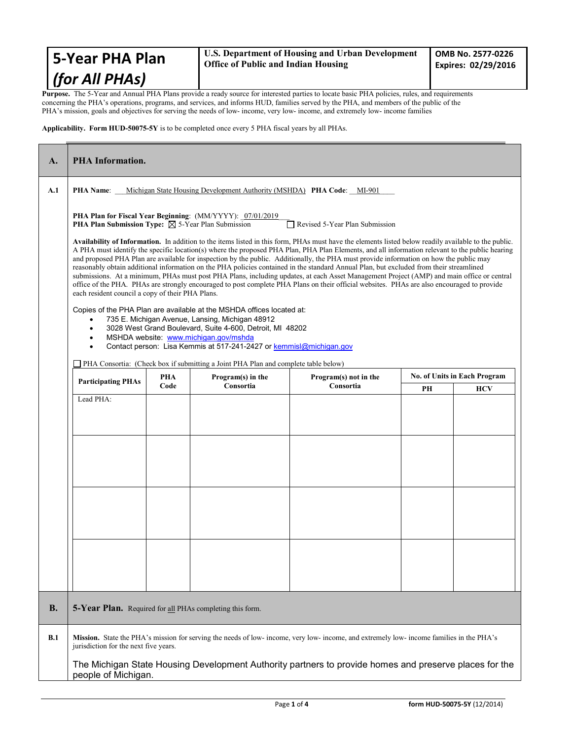| <b>S-Year PHA Plan</b> | U.S. Department of Housing and Urban Development<br><b>Office of Public and Indian Housing</b> |  |  |
|------------------------|------------------------------------------------------------------------------------------------|--|--|
| $ $ (for All PHAs)     |                                                                                                |  |  |

**Purpose.** The 5-Year and Annual PHA Plans provide a ready source for interested parties to locate basic PHA policies, rules, and requirements concerning the PHA's operations, programs, and services, and informs HUD, families served by the PHA, and members of the public of the PHA's mission, goals and objectives for serving the needs of low- income, very low- income, and extremely low- income families

**Applicability. Form HUD-50075-5Y** is to be completed once every 5 PHA fiscal years by all PHAs.

| A.         | <b>PHA</b> Information.                                                                                                                                                                                                                                                                                                                                                                                                                                                                                                                                                                                                                                                                                                                                                                                                                                                                                                                     |                                                                                                                                                                                       |           |           |    |            |  |
|------------|---------------------------------------------------------------------------------------------------------------------------------------------------------------------------------------------------------------------------------------------------------------------------------------------------------------------------------------------------------------------------------------------------------------------------------------------------------------------------------------------------------------------------------------------------------------------------------------------------------------------------------------------------------------------------------------------------------------------------------------------------------------------------------------------------------------------------------------------------------------------------------------------------------------------------------------------|---------------------------------------------------------------------------------------------------------------------------------------------------------------------------------------|-----------|-----------|----|------------|--|
| A.1        | <b>PHA Name:</b> Michigan State Housing Development Authority (MSHDA) <b>PHA Code:</b> MI-901                                                                                                                                                                                                                                                                                                                                                                                                                                                                                                                                                                                                                                                                                                                                                                                                                                               |                                                                                                                                                                                       |           |           |    |            |  |
|            | PHA Plan for Fiscal Year Beginning: (MM/YYYY): 07/01/2019<br><b>PHA Plan Submission Type:</b> $\boxtimes$ 5-Year Plan Submission<br>Revised 5-Year Plan Submission                                                                                                                                                                                                                                                                                                                                                                                                                                                                                                                                                                                                                                                                                                                                                                          |                                                                                                                                                                                       |           |           |    |            |  |
|            | Availability of Information. In addition to the items listed in this form, PHAs must have the elements listed below readily available to the public.<br>A PHA must identify the specific location(s) where the proposed PHA Plan, PHA Plan Elements, and all information relevant to the public hearing<br>and proposed PHA Plan are available for inspection by the public. Additionally, the PHA must provide information on how the public may<br>reasonably obtain additional information on the PHA policies contained in the standard Annual Plan, but excluded from their streamlined<br>submissions. At a minimum, PHAs must post PHA Plans, including updates, at each Asset Management Project (AMP) and main office or central<br>office of the PHA. PHAs are strongly encouraged to post complete PHA Plans on their official websites. PHAs are also encouraged to provide<br>each resident council a copy of their PHA Plans. |                                                                                                                                                                                       |           |           |    |            |  |
|            | Copies of the PHA Plan are available at the MSHDA offices located at:<br>735 E. Michigan Avenue, Lansing, Michigan 48912<br>3028 West Grand Boulevard, Suite 4-600, Detroit, MI 48202<br>$\bullet$<br>MSHDA website: www.michigan.gov/mshda<br>Contact person: Lisa Kemmis at 517-241-2427 or kemmisl@michigan.gov                                                                                                                                                                                                                                                                                                                                                                                                                                                                                                                                                                                                                          |                                                                                                                                                                                       |           |           |    |            |  |
|            |                                                                                                                                                                                                                                                                                                                                                                                                                                                                                                                                                                                                                                                                                                                                                                                                                                                                                                                                             | PHA Consortia: (Check box if submitting a Joint PHA Plan and complete table below)<br><b>No. of Units in Each Program</b><br><b>PHA</b><br>Program(s) in the<br>Program(s) not in the |           |           |    |            |  |
|            | <b>Participating PHAs</b>                                                                                                                                                                                                                                                                                                                                                                                                                                                                                                                                                                                                                                                                                                                                                                                                                                                                                                                   | Code                                                                                                                                                                                  | Consortia | Consortia | PН | <b>HCV</b> |  |
|            | Lead PHA:                                                                                                                                                                                                                                                                                                                                                                                                                                                                                                                                                                                                                                                                                                                                                                                                                                                                                                                                   |                                                                                                                                                                                       |           |           |    |            |  |
| <b>B.</b>  | 5-Year Plan. Required for all PHAs completing this form.                                                                                                                                                                                                                                                                                                                                                                                                                                                                                                                                                                                                                                                                                                                                                                                                                                                                                    |                                                                                                                                                                                       |           |           |    |            |  |
| <b>B.1</b> | Mission. State the PHA's mission for serving the needs of low-income, very low-income, and extremely low-income families in the PHA's<br>jurisdiction for the next five years.                                                                                                                                                                                                                                                                                                                                                                                                                                                                                                                                                                                                                                                                                                                                                              |                                                                                                                                                                                       |           |           |    |            |  |
|            | The Michigan State Housing Development Authority partners to provide homes and preserve places for the<br>people of Michigan.                                                                                                                                                                                                                                                                                                                                                                                                                                                                                                                                                                                                                                                                                                                                                                                                               |                                                                                                                                                                                       |           |           |    |            |  |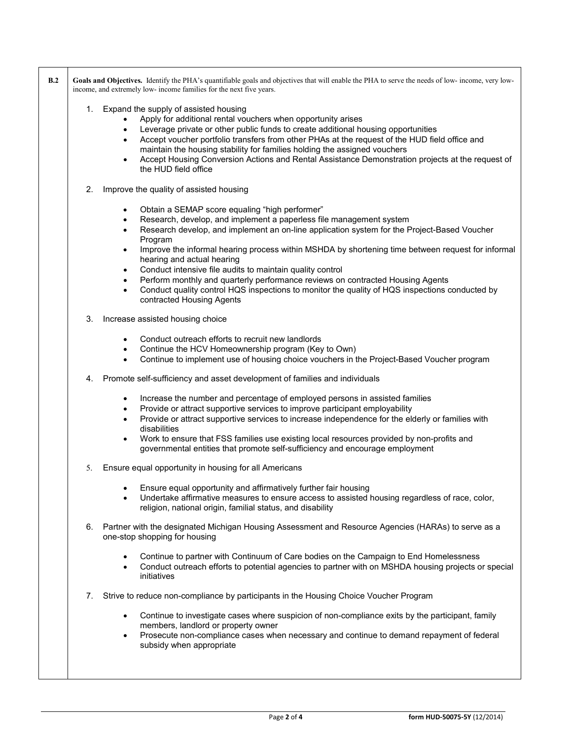| B.2 | Goals and Objectives. Identify the PHA's quantifiable goals and objectives that will enable the PHA to serve the needs of low-income, very low-<br>income, and extremely low- income families for the next five years.                                                                                                                                                                                                                                                                                                                                                                                                                                                                                 |
|-----|--------------------------------------------------------------------------------------------------------------------------------------------------------------------------------------------------------------------------------------------------------------------------------------------------------------------------------------------------------------------------------------------------------------------------------------------------------------------------------------------------------------------------------------------------------------------------------------------------------------------------------------------------------------------------------------------------------|
|     | 1. Expand the supply of assisted housing<br>Apply for additional rental vouchers when opportunity arises<br>Leverage private or other public funds to create additional housing opportunities<br>$\bullet$<br>Accept voucher portfolio transfers from other PHAs at the request of the HUD field office and<br>$\bullet$<br>maintain the housing stability for families holding the assigned vouchers<br>Accept Housing Conversion Actions and Rental Assistance Demonstration projects at the request of<br>$\bullet$<br>the HUD field office                                                                                                                                                         |
|     | 2.<br>Improve the quality of assisted housing                                                                                                                                                                                                                                                                                                                                                                                                                                                                                                                                                                                                                                                          |
|     | Obtain a SEMAP score equaling "high performer"<br>$\bullet$<br>Research, develop, and implement a paperless file management system<br>$\bullet$<br>Research develop, and implement an on-line application system for the Project-Based Voucher<br>٠<br>Program<br>Improve the informal hearing process within MSHDA by shortening time between request for informal<br>٠<br>hearing and actual hearing<br>Conduct intensive file audits to maintain quality control<br>$\bullet$<br>Perform monthly and quarterly performance reviews on contracted Housing Agents<br>٠<br>Conduct quality control HQS inspections to monitor the quality of HQS inspections conducted by<br>contracted Housing Agents |
|     | 3.<br>Increase assisted housing choice                                                                                                                                                                                                                                                                                                                                                                                                                                                                                                                                                                                                                                                                 |
|     | Conduct outreach efforts to recruit new landlords<br>$\bullet$<br>Continue the HCV Homeownership program (Key to Own)<br>$\bullet$<br>Continue to implement use of housing choice vouchers in the Project-Based Voucher program<br>$\bullet$<br>Promote self-sufficiency and asset development of families and individuals<br>4.                                                                                                                                                                                                                                                                                                                                                                       |
|     | Increase the number and percentage of employed persons in assisted families<br>$\bullet$<br>Provide or attract supportive services to improve participant employability<br>٠<br>Provide or attract supportive services to increase independence for the elderly or families with<br>$\bullet$<br>disabilities<br>Work to ensure that FSS families use existing local resources provided by non-profits and<br>$\bullet$<br>governmental entities that promote self-sufficiency and encourage employment                                                                                                                                                                                                |
|     | Ensure equal opportunity in housing for all Americans<br>5.                                                                                                                                                                                                                                                                                                                                                                                                                                                                                                                                                                                                                                            |
|     | Ensure equal opportunity and affirmatively further fair housing<br>Undertake affirmative measures to ensure access to assisted housing regardless of race, color,<br>religion, national origin, familial status, and disability                                                                                                                                                                                                                                                                                                                                                                                                                                                                        |
|     | 6. Partner with the designated Michigan Housing Assessment and Resource Agencies (HARAs) to serve as a<br>one-stop shopping for housing                                                                                                                                                                                                                                                                                                                                                                                                                                                                                                                                                                |
|     | Continue to partner with Continuum of Care bodies on the Campaign to End Homelessness<br>Conduct outreach efforts to potential agencies to partner with on MSHDA housing projects or special<br>$\bullet$<br>initiatives                                                                                                                                                                                                                                                                                                                                                                                                                                                                               |
|     | Strive to reduce non-compliance by participants in the Housing Choice Voucher Program<br>7.                                                                                                                                                                                                                                                                                                                                                                                                                                                                                                                                                                                                            |
|     | Continue to investigate cases where suspicion of non-compliance exits by the participant, family<br>members, landlord or property owner<br>Prosecute non-compliance cases when necessary and continue to demand repayment of federal<br>subsidy when appropriate                                                                                                                                                                                                                                                                                                                                                                                                                                       |
|     |                                                                                                                                                                                                                                                                                                                                                                                                                                                                                                                                                                                                                                                                                                        |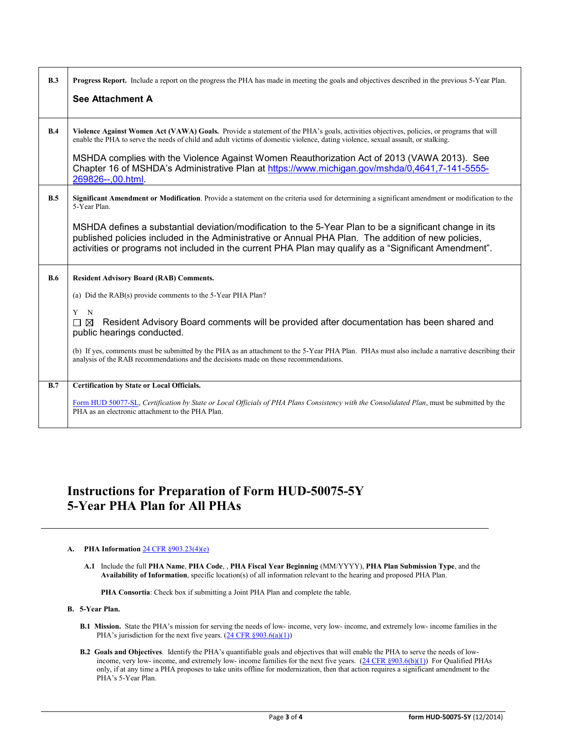| B.3 | <b>Progress Report.</b> Include a report on the progress the PHA has made in meeting the goals and objectives described in the previous 5-Year Plan.<br>See Attachment A                                                                                                                                                                                                                                                                                                                                              |
|-----|-----------------------------------------------------------------------------------------------------------------------------------------------------------------------------------------------------------------------------------------------------------------------------------------------------------------------------------------------------------------------------------------------------------------------------------------------------------------------------------------------------------------------|
| B.4 | Violence Against Women Act (VAWA) Goals. Provide a statement of the PHA's goals, activities objectives, policies, or programs that will<br>enable the PHA to serve the needs of child and adult victims of domestic violence, dating violence, sexual assault, or stalking.<br>MSHDA complies with the Violence Against Women Reauthorization Act of 2013 (VAWA 2013). See<br>Chapter 16 of MSHDA's Administrative Plan at https://www.michigan.gov/mshda/0,4641,7-141-5555-<br>269826--,00.html.                     |
| B.5 | Significant Amendment or Modification. Provide a statement on the criteria used for determining a significant amendment or modification to the<br>5-Year Plan.<br>MSHDA defines a substantial deviation/modification to the 5-Year Plan to be a significant change in its<br>published policies included in the Administrative or Annual PHA Plan. The addition of new policies,<br>activities or programs not included in the current PHA Plan may qualify as a "Significant Amendment".                             |
| B.6 | <b>Resident Advisory Board (RAB) Comments.</b><br>(a) Did the RAB(s) provide comments to the 5-Year PHA Plan?<br>$\mathbf N$<br>Y<br>Resident Advisory Board comments will be provided after documentation has been shared and<br>⊠<br>$\Box$<br>public hearings conducted.<br>(b) If yes, comments must be submitted by the PHA as an attachment to the 5-Year PHA Plan. PHAs must also include a narrative describing their<br>analysis of the RAB recommendations and the decisions made on these recommendations. |
| B.7 | <b>Certification by State or Local Officials.</b><br>Form HUD 50077-SL, Certification by State or Local Officials of PHA Plans Consistency with the Consolidated Plan, must be submitted by the<br>PHA as an electronic attachment to the PHA Plan.                                                                                                                                                                                                                                                                   |

## **Instructions for Preparation of Form HUD-50075-5Y 5-Year PHA Plan for All PHAs**

## **A. PHA Information** [24 CFR §903.23\(4\)\(e\)](http://ecfr.gpoaccess.gov/cgi/t/text/text-idx?c=ecfr&sid=13734845220744370804c20da2294a03&rgn=div5&view=text&node=24:4.0.3.1.3&idno=24#24:4.0.3.1.3.2.5.14)

**A.1** Include the full **PHA Name**, **PHA Code**, , **PHA Fiscal Year Beginning** (MM/YYYY), **PHA Plan Submission Type**, and the **Availability of Information**, specific location(s) of all information relevant to the hearing and proposed PHA Plan.

**PHA Consortia**: Check box if submitting a Joint PHA Plan and complete the table.

## **B. 5-Year Plan.**

- **B.1 Mission.** State the PHA's mission for serving the needs of low- income, very low- income, and extremely low- income families in the PHA's jurisdiction for the next five years.  $(24 \text{ CFR } \frac{§903.6(a)(1)}{4}$
- **B.2 Goals and Objectives**. Identify the PHA's quantifiable goals and objectives that will enable the PHA to serve the needs of lowincome, very low- income, and extremely low- income families for the next five years. [\(24 CFR §903.6\(b\)\(1\)\)](http://ecfr.gpoaccess.gov/cgi/t/text/text-idx?c=ecfr&sid=13734845220744370804c20da2294a03&rgn=div5&view=text&node=24:4.0.3.1.3&idno=24#24:4.0.3.1.3.2.5.4) For Qualified PHAs only, if at any time a PHA proposes to take units offline for modernization, then that action requires a significant amendment to the PHA's 5-Year Plan.